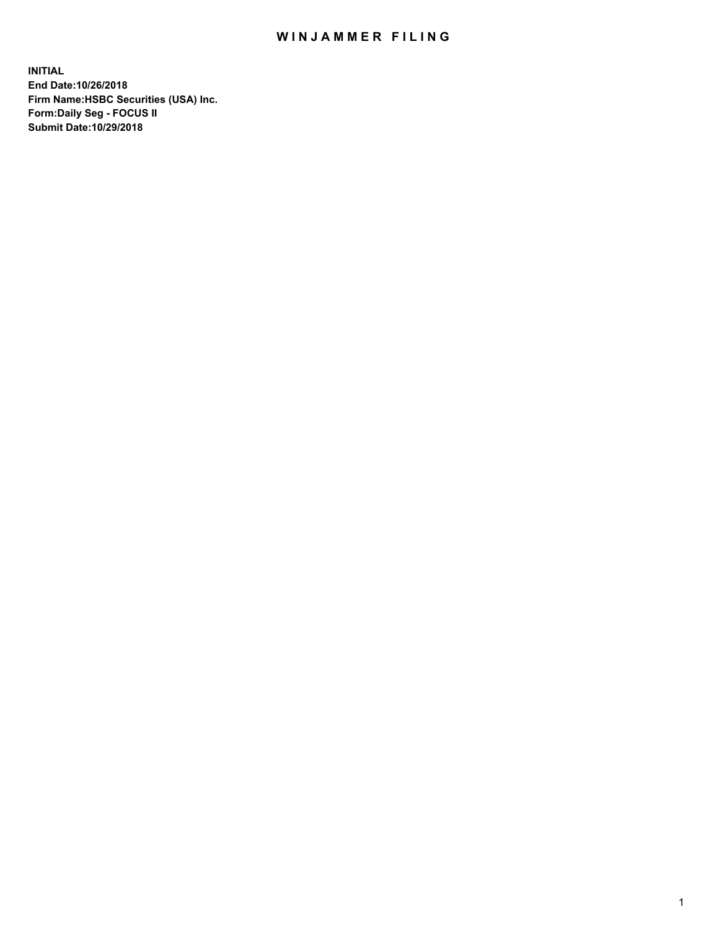## WIN JAMMER FILING

**INITIAL End Date:10/26/2018 Firm Name:HSBC Securities (USA) Inc. Form:Daily Seg - FOCUS II Submit Date:10/29/2018**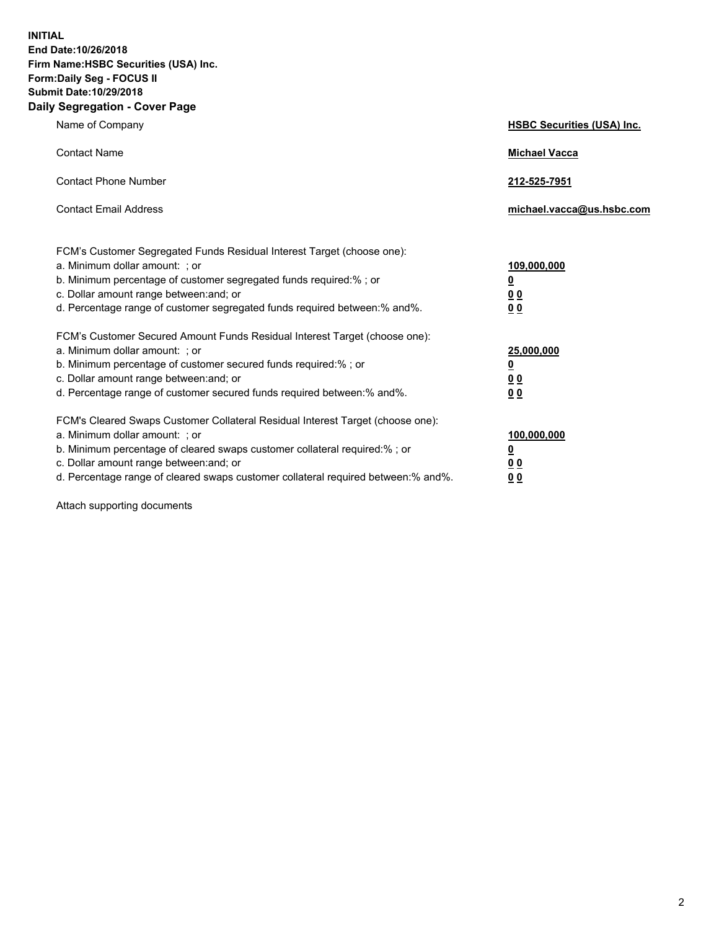**INITIAL End Date:10/26/2018 Firm Name:HSBC Securities (USA) Inc. Form:Daily Seg - FOCUS II Submit Date:10/29/2018 Daily Segregation - Cover Page**

| Name of Company                                                                                                                                                                                                                                                                                                                | <b>HSBC Securities (USA) Inc.</b>                                          |
|--------------------------------------------------------------------------------------------------------------------------------------------------------------------------------------------------------------------------------------------------------------------------------------------------------------------------------|----------------------------------------------------------------------------|
| <b>Contact Name</b>                                                                                                                                                                                                                                                                                                            | <b>Michael Vacca</b>                                                       |
| <b>Contact Phone Number</b>                                                                                                                                                                                                                                                                                                    | 212-525-7951                                                               |
| <b>Contact Email Address</b>                                                                                                                                                                                                                                                                                                   | michael.vacca@us.hsbc.com                                                  |
| FCM's Customer Segregated Funds Residual Interest Target (choose one):<br>a. Minimum dollar amount: : or<br>b. Minimum percentage of customer segregated funds required:% ; or<br>c. Dollar amount range between: and; or<br>d. Percentage range of customer segregated funds required between:% and%.                         | 109,000,000<br>$\overline{\mathbf{0}}$<br>0 <sub>0</sub><br>0 <sub>0</sub> |
| FCM's Customer Secured Amount Funds Residual Interest Target (choose one):<br>a. Minimum dollar amount: ; or<br>b. Minimum percentage of customer secured funds required:%; or<br>c. Dollar amount range between: and; or<br>d. Percentage range of customer secured funds required between:% and%.                            | 25,000,000<br>$\overline{\mathbf{0}}$<br>0 <sub>0</sub><br>0 <sub>0</sub>  |
| FCM's Cleared Swaps Customer Collateral Residual Interest Target (choose one):<br>a. Minimum dollar amount: ; or<br>b. Minimum percentage of cleared swaps customer collateral required:% ; or<br>c. Dollar amount range between: and; or<br>d. Percentage range of cleared swaps customer collateral required between:% and%. | 100,000,000<br>$\overline{\mathbf{0}}$<br>0 <sub>0</sub><br>0 <sub>0</sub> |

Attach supporting documents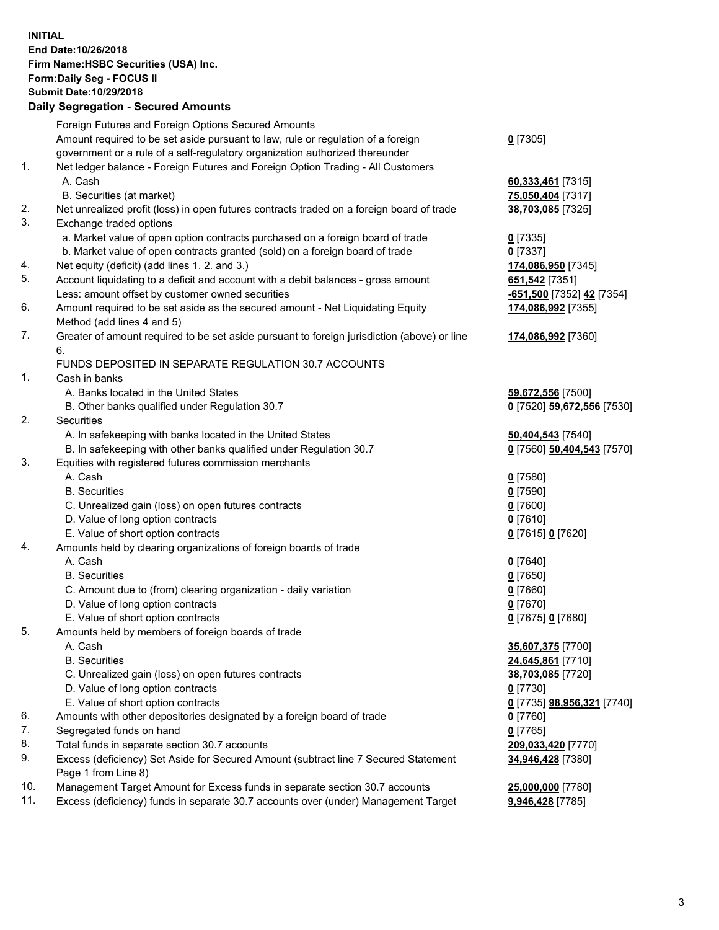**INITIAL End Date:10/26/2018 Firm Name:HSBC Securities (USA) Inc. Form:Daily Seg - FOCUS II Submit Date:10/29/2018 Daily Segregation - Secured Amounts** Foreign Futures and Foreign Options Secured Amounts Amount required to be set aside pursuant to law, rule or regulation of a foreign government or a rule of a self-regulatory organization authorized thereunder **0** [7305] 1. Net ledger balance - Foreign Futures and Foreign Option Trading - All Customers A. Cash **60,333,461** [7315] B. Securities (at market) **75,050,404** [7317] 2. Net unrealized profit (loss) in open futures contracts traded on a foreign board of trade **38,703,085** [7325] 3. Exchange traded options a. Market value of open option contracts purchased on a foreign board of trade **0** [7335] b. Market value of open contracts granted (sold) on a foreign board of trade **0** [7337] 4. Net equity (deficit) (add lines 1. 2. and 3.) **174,086,950** [7345] 5. Account liquidating to a deficit and account with a debit balances - gross amount **651,542** [7351] Less: amount offset by customer owned securities **-651,500** [7352] **42** [7354] 6. Amount required to be set aside as the secured amount - Net Liquidating Equity Method (add lines 4 and 5) **174,086,992** [7355] 7. Greater of amount required to be set aside pursuant to foreign jurisdiction (above) or line 6. **174,086,992** [7360] FUNDS DEPOSITED IN SEPARATE REGULATION 30.7 ACCOUNTS 1. Cash in banks A. Banks located in the United States **59,672,556** [7500] B. Other banks qualified under Regulation 30.7 **0** [7520] **59,672,556** [7530] 2. Securities A. In safekeeping with banks located in the United States **50,404,543** [7540] B. In safekeeping with other banks qualified under Regulation 30.7 **0** [7560] **50,404,543** [7570] 3. Equities with registered futures commission merchants A. Cash **0** [7580] B. Securities **0** [7590] C. Unrealized gain (loss) on open futures contracts **0** [7600] D. Value of long option contracts **0** [7610] E. Value of short option contracts **0** [7615] **0** [7620] 4. Amounts held by clearing organizations of foreign boards of trade A. Cash **0** [7640] B. Securities **0** [7650] C. Amount due to (from) clearing organization - daily variation **0** [7660] D. Value of long option contracts **0** [7670] E. Value of short option contracts **0** [7675] **0** [7680] 5. Amounts held by members of foreign boards of trade A. Cash **35,607,375** [7700] B. Securities **24,645,861** [7710] C. Unrealized gain (loss) on open futures contracts **38,703,085** [7720] D. Value of long option contracts **0** [7730] E. Value of short option contracts **0** [7735] **98,956,321** [7740] 6. Amounts with other depositories designated by a foreign board of trade **0** [7760] 7. Segregated funds on hand **0** [7765] 8. Total funds in separate section 30.7 accounts **209,033,420** [7770] 9. Excess (deficiency) Set Aside for Secured Amount (subtract line 7 Secured Statement Page 1 from Line 8) **34,946,428** [7380]

10. Management Target Amount for Excess funds in separate section 30.7 accounts **25,000,000** [7780]

11. Excess (deficiency) funds in separate 30.7 accounts over (under) Management Target **9,946,428** [7785]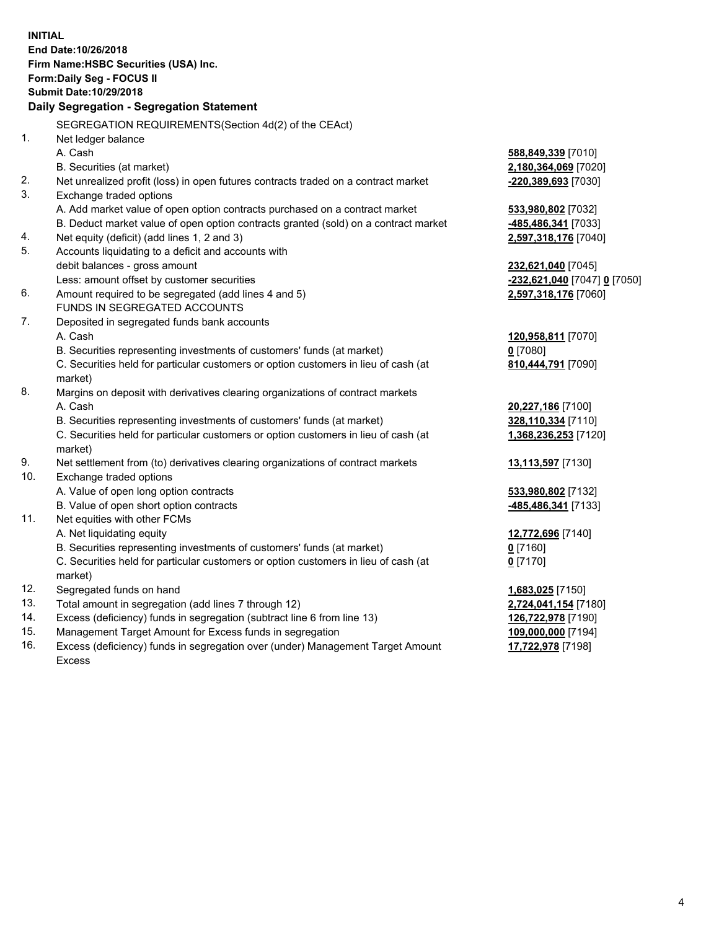**INITIAL End Date:10/26/2018 Firm Name:HSBC Securities (USA) Inc. Form:Daily Seg - FOCUS II Submit Date:10/29/2018 Daily Segregation - Segregation Statement** SEGREGATION REQUIREMENTS(Section 4d(2) of the CEAct) 1. Net ledger balance A. Cash **588,849,339** [7010] B. Securities (at market) **2,180,364,069** [7020] 2. Net unrealized profit (loss) in open futures contracts traded on a contract market **-220,389,693** [7030] 3. Exchange traded options A. Add market value of open option contracts purchased on a contract market **533,980,802** [7032] B. Deduct market value of open option contracts granted (sold) on a contract market **-485,486,341** [7033] 4. Net equity (deficit) (add lines 1, 2 and 3) **2,597,318,176** [7040] 5. Accounts liquidating to a deficit and accounts with debit balances - gross amount **232,621,040** [7045] Less: amount offset by customer securities **-232,621,040** [7047] **0** [7050] 6. Amount required to be segregated (add lines 4 and 5) **2,597,318,176** [7060] FUNDS IN SEGREGATED ACCOUNTS 7. Deposited in segregated funds bank accounts A. Cash **120,958,811** [7070] B. Securities representing investments of customers' funds (at market) **0** [7080] C. Securities held for particular customers or option customers in lieu of cash (at market) **810,444,791** [7090] 8. Margins on deposit with derivatives clearing organizations of contract markets A. Cash **20,227,186** [7100] B. Securities representing investments of customers' funds (at market) **328,110,334** [7110] C. Securities held for particular customers or option customers in lieu of cash (at market) **1,368,236,253** [7120] 9. Net settlement from (to) derivatives clearing organizations of contract markets **13,113,597** [7130] 10. Exchange traded options A. Value of open long option contracts **533,980,802** [7132] B. Value of open short option contracts **-485,486,341** [7133] 11. Net equities with other FCMs A. Net liquidating equity **12,772,696** [7140] B. Securities representing investments of customers' funds (at market) **0** [7160] C. Securities held for particular customers or option customers in lieu of cash (at market) **0** [7170] 12. Segregated funds on hand **1,683,025** [7150] 13. Total amount in segregation (add lines 7 through 12) **2,724,041,154** [7180] 14. Excess (deficiency) funds in segregation (subtract line 6 from line 13) **126,722,978** [7190] 15. Management Target Amount for Excess funds in segregation **109,000,000** [7194] **17,722,978** [7198]

16. Excess (deficiency) funds in segregation over (under) Management Target Amount Excess